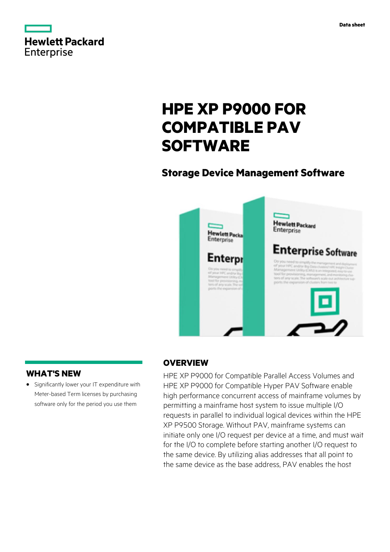

# **HPE XP P9000 FOR COMPATIBLE PAV SOFTWARE**

# **Storage Device Management Software**



# **WHAT'S NEW**

**·** Significantly lower your IT expenditure with Meter-based Term licenses by purchasing software only for the period you use them

### **OVERVIEW**

HPE XP P9000 for Compatible Parallel Access Volumes and HPE XP P9000 for Compatible Hyper PAV Software enable high performance concurrent access of mainframe volumes by permitting a mainframe host system to issue multiple I/O requests in parallel to individual logical devices within the HPE XP P9500 Storage. Without PAV, mainframe systems can initiate only one I/O request per device at a time, and must wait for the I/O to complete before starting another I/O request to the same device. By utilizing alias addresses that all point to the same device as the base address, PAV enables the host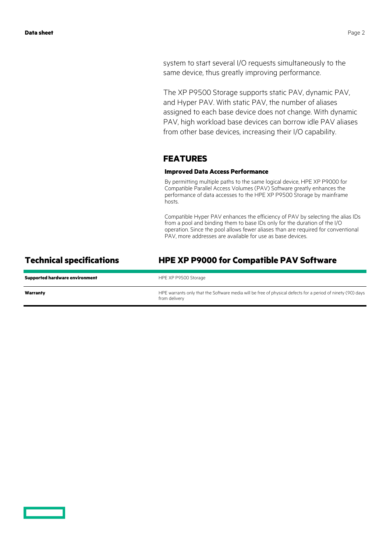system to start several I/O requests simultaneously to the same device, thus greatly improving performance.

The XP P9500 Storage supports static PAV, dynamic PAV, and Hyper PAV. With static PAV, the number of aliases assigned to each base device does not change. With dynamic PAV, high workload base devices can borrow idle PAV aliases from other base devices, increasing their I/O capability.

### **FEATURES**

### **Improved Data Access Performance**

By permitting multiple paths to the same logical device, HPE XP P9000 for Compatible Parallel Access Volumes (PAV) Software greatly enhances the performance of data accesses to the HPE XP P9500 Storage by mainframe hosts.

Compatible Hyper PAV enhances the efficiency of PAV by selecting the alias IDs from a pool and binding them to base IDs only for the duration of the I/O operation. Since the pool allows fewer aliases than are required for conventional PAV, more addresses are available for use as base devices.

### **Technical specifications HPE XP P9000 for Compatible PAV Software**

| <b>Supported hardware environment</b> | HPE XP P9500 Storage                                                                                                         |
|---------------------------------------|------------------------------------------------------------------------------------------------------------------------------|
| Warranty                              | HPE warrants only that the Software media will be free of physical defects for a period of ninety (90) days<br>from delivery |